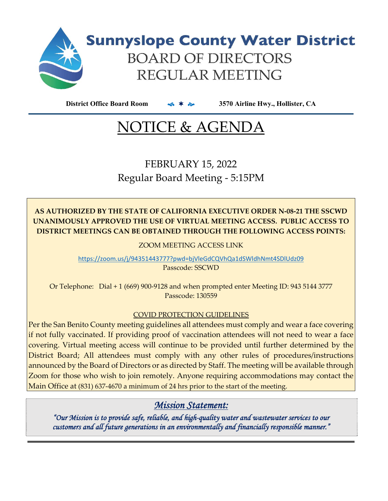

**District Office Board Room 3570 Airline Hwy., Hollister, CA**

# NOTICE & AGENDA

FEBRUARY 15, 2022 Regular Board Meeting ‐ 5:15PM

**AS AUTHORIZED BY THE STATE OF CALIFORNIA EXECUTIVE ORDER N‐08‐21 THE SSCWD UNANIMOUSLY APPROVED THE USE OF VIRTUAL MEETING ACCESS. PUBLIC ACCESS TO DISTRICT MEETINGS CAN BE OBTAINED THROUGH THE FOLLOWING ACCESS POINTS:**

ZOOM MEETING ACCESS LINK

https://zoom.us/j/94351443777?pwd=bjVleGdCQVhQa1dSWldhNmt4SDlUdz09

Passcode: SSCWD

Or Telephone: Dial + 1 (669) 900‐9128 and when prompted enter Meeting ID: 943 5144 3777 Passcode: 130559

### COVID PROTECTION GUIDELINES

Per the San Benito County meeting guidelines all attendees must comply and wear a face covering if not fully vaccinated. If providing proof of vaccination attendees will not need to wear a face covering. Virtual meeting access will continue to be provided until further determined by the District Board; All attendees must comply with any other rules of procedures/instructions announced by the Board of Directors or as directed by Staff. The meeting will be available through Zoom for those who wish to join remotely. Anyone requiring accommodations may contact the Main Office at (831) 637‐4670 a minimum of 24 hrs prior to the start of the meeting.

### *Mission Statement:*

*"Our Mission is to provide safe, reliable, and high-quality water and wastewater services to our customers and all future generations in an environmentally and financially responsible manner."*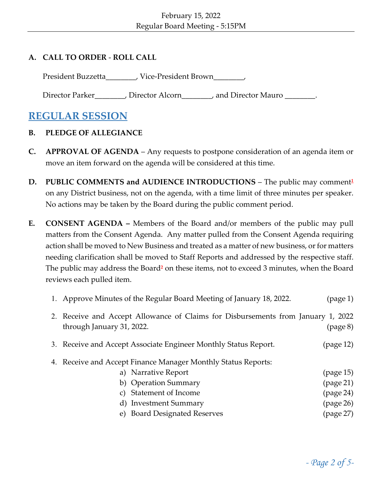### **A. CALL TO ORDER** ‐ **ROLL CALL**

President Buzzetta\_\_\_\_\_\_\_, Vice-President Brown\_\_\_\_\_\_,

Director Parker\_\_\_\_\_\_\_, Director Alcorn\_\_\_\_\_\_, and Director Mauro \_\_\_\_\_\_\_.

### **REGULAR SESSION**

### **B. PLEDGE OF ALLEGIANCE**

- **C. APPROVAL OF AGENDA** Any requests to postpone consideration of an agenda item or move an item forward on the agenda will be considered at this time.
- **D. PUBLIC COMMENTS and AUDIENCE INTRODUCTIONS** The public may comment**<sup>1</sup>** on any District business, not on the agenda, with a time limit of three minutes per speaker. No actions may be taken by the Board during the public comment period.
- **E. CONSENT AGENDA –** Members of the Board and/or members of the public may pull matters from the Consent Agenda. Any matter pulled from the Consent Agenda requiring action shall be moved to New Business and treated as a matter of new business, or for matters needing clarification shall be moved to Staff Reports and addressed by the respective staff. The public may address the Board**<sup>2</sup>** on these items, not to exceed 3 minutes, when the Board reviews each pulled item.

| 1. Approve Minutes of the Regular Board Meeting of January 18, 2022.                                                      | (page 1)                        |  |  |  |
|---------------------------------------------------------------------------------------------------------------------------|---------------------------------|--|--|--|
| 2. Receive and Accept Allowance of Claims for Disbursements from January 1, 2022<br>through January 31, 2022.<br>(page 8) |                                 |  |  |  |
| 3. Receive and Accept Associate Engineer Monthly Status Report.                                                           | (page 12)                       |  |  |  |
| 4. Receive and Accept Finance Manager Monthly Status Reports:                                                             |                                 |  |  |  |
| a) Narrative Report                                                                                                       | (page 15)                       |  |  |  |
| b) Operation Summary                                                                                                      | $\left( \text{page 21} \right)$ |  |  |  |
| c) Statement of Income                                                                                                    | (page 24)                       |  |  |  |
| d) Investment Summary                                                                                                     | (page 26)                       |  |  |  |
| e) Board Designated Reserves                                                                                              | (page 27)                       |  |  |  |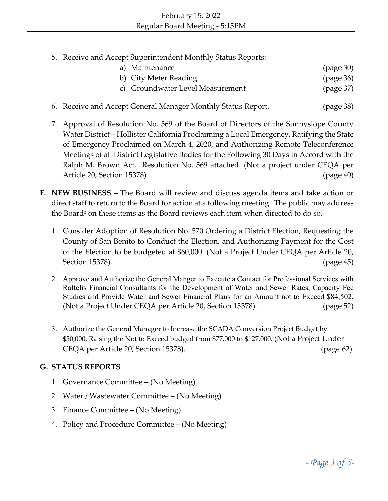5. Receive and Accept Superintendent Monthly Status Reports:

| a) Maintenance                   |  | (page 30) |
|----------------------------------|--|-----------|
| b) City Meter Reading            |  | (page 36) |
| c) Groundwater Level Measurement |  | (page 37) |

- 6. Receive and Accept General Manager Monthly Status Report. (page 38)
- 7. Approval of Resolution No. 569 of the Board of Directors of the Sunnyslope County Water District – Hollister California Proclaiming a Local Emergency, Ratifying the State of Emergency Proclaimed on March 4, 2020, and Authorizing Remote Teleconference Meetings of all District Legislative Bodies for the Following 30 Days in Accord with the Ralph M. Brown Act. Resolution No. 569 attached. (Not a project under CEQA per Article 20, Section 15378) (page 40)
- **F. NEW BUSINESS –** The Board will review and discuss agenda items and take action or direct staff to return to the Board for action at a following meeting. The public may address the Board**<sup>2</sup>** on these items as the Board reviews each item when directed to do so.
	- 1. Consider Adoption of Resolution No. 570 Ordering a District Election, Requesting the County of San Benito to Conduct the Election, and Authorizing Payment for the Cost of the Election to be budgeted at \$60,000. (Not a Project Under CEQA per Article 20, Section 15378). (page 45)
	- 2. Approve and Authorize the General Manger to Execute a Contact for Professional Services with Raftelis Financial Consultants for the Development of Water and Sewer Rates, Capacity Fee Studies and Provide Water and Sewer Financial Plans for an Amount not to Exceed \$84,502. (Not a Project Under CEQA per Article 20, Section 15378). (page 52)
	- 3. Authorize the General Manager to Increase the SCADA Conversion Project Budget by \$50,000, Raising the Not to Exceed budged from \$77,000 to \$127,000. (Not a Project Under CEQA per Article 20, Section 15378). (page 62)

### **G. STATUS REPORTS**

- 1. Governance Committee (No Meeting)
- 2. Water / Wastewater Committee (No Meeting)
- 3. Finance Committee (No Meeting)
- 4. Policy and Procedure Committee (No Meeting)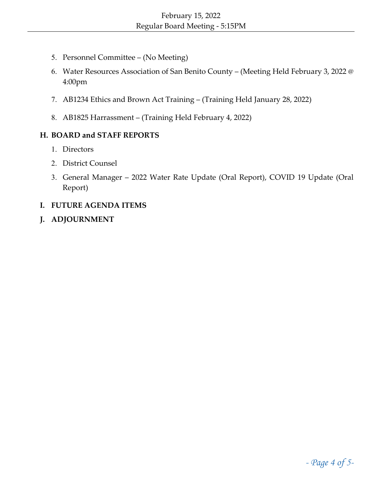- 5. Personnel Committee (No Meeting)
- 6. Water Resources Association of San Benito County (Meeting Held February 3, 2022 @ 4:00pm
- 7. AB1234 Ethics and Brown Act Training (Training Held January 28, 2022)
- 8. AB1825 Harrassment (Training Held February 4, 2022)

### **H. BOARD and STAFF REPORTS**

- 1. Directors
- 2. District Counsel
- 3. General Manager 2022 Water Rate Update (Oral Report), COVID 19 Update (Oral Report)
- **I. FUTURE AGENDA ITEMS**
- **J. ADJOURNMENT**